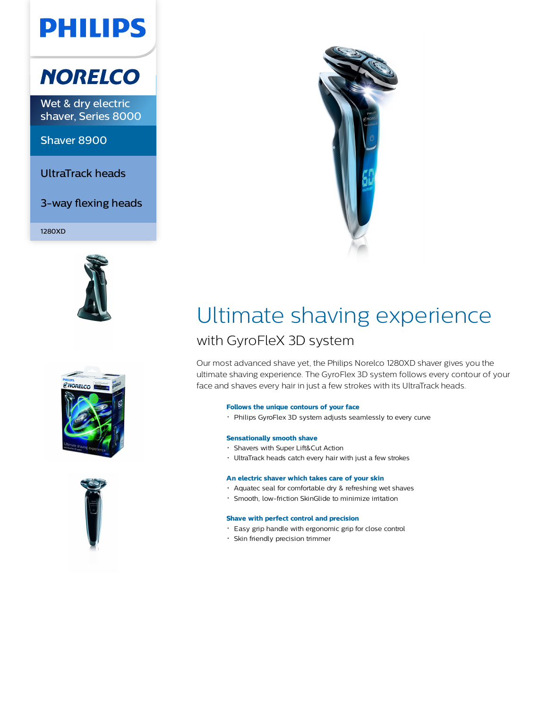# **PHILIPS**

## **NORELCO**

Wet & dry electric shaver, Series 8000

Shaver 8900

UltraTrack heads

3-way flexing heads

1280XD









## Ultimate shaving experience with GyroFleX 3D system

Our most advanced shave yet, the Philips Norelco 1280XD shaver gives you the ultimate shaving experience. The GyroFlex 3D system follows every contour of your face and shaves every hair in just a few strokes with its UltraTrack heads.

## **Follows the unique contours of your face**

Philips GyroFlex 3D system adjusts seamlessly to every curve

## **Sensationally smooth shave**

- Shavers with Super Lift&Cut Action
- UltraTrack heads catch every hair with just a few strokes

## **An electric shaver which takes care of your skin**

- Aquatec seal for comfortable dry & refreshing wet shaves
- Smooth, low-friction SkinGlide to minimize irritation

## **Shave with perfect control and precision**

- Easy grip handle with ergonomic grip for close control
- Skin friendly precision trimmer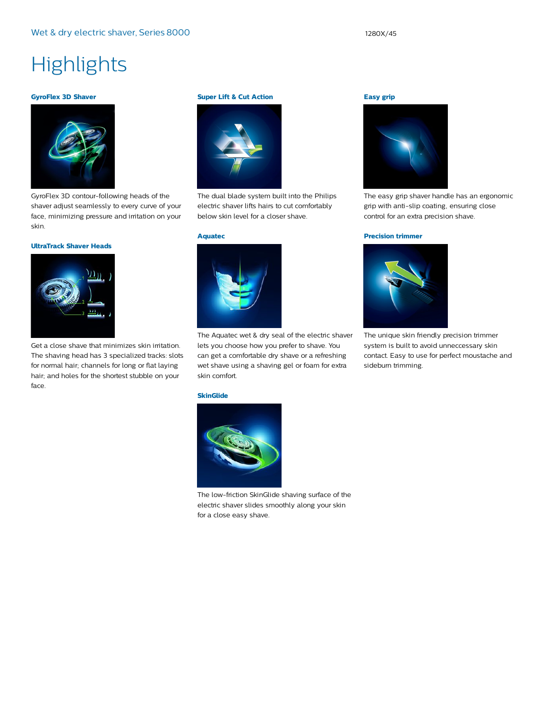## **Highlights**

#### **GyroFlex 3D Shaver**



GyroFlex 3D contour-following heads of the shaver adjust seamlessly to every curve of your face, minimizing pressure and irritation on your skin.

#### **UltraTrack Shaver Heads**



Get a close shave that minimizes skin irritation. The shaving head has 3 specialized tracks: slots for normal hair; channels for long or flat laying hair; and holes for the shortest stubble on your face.

#### **Super Lift & Cut Action**



The dual blade system built into the Philips electric shaver lifts hairs to cut comfortably below skin level for a closer shave.

#### **Aquatec**



The Aquatec wet & dry seal of the electric shaver lets you choose how you prefer to shave. You can get a comfortable dry shave or a refreshing wet shave using a shaving gel or foam for extra skin comfort.

#### **SkinGlide**



The low-friction SkinGlide shaving surface of the electric shaver slides smoothly along your skin for a close easy shave.

### **Easy grip**



The easy grip shaver handle has an ergonomic grip with anti-slip coating, ensuring close control for an extra precision shave.

#### **Precision trimmer**



The unique skin friendly precision trimmer system is built to avoid unneccessary skin contact. Easy to use for perfect moustache and sideburn trimming.